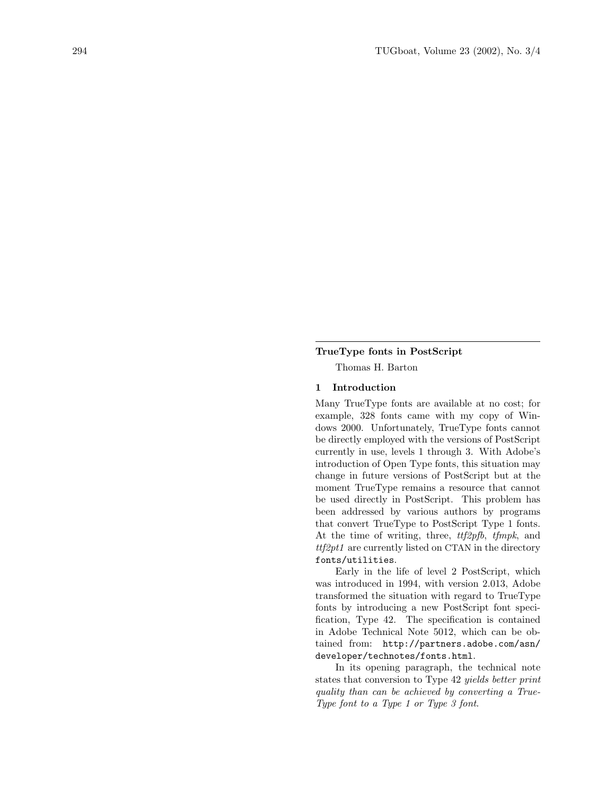#### TrueType fonts in PostScript

Thomas H. Barton

## 1 Introduction

Many TrueType fonts are available at no cost; for example, 328 fonts came with my copy of Windows 2000. Unfortunately, TrueType fonts cannot be directly employed with the versions of PostScript currently in use, levels 1 through 3. With Adobe's introduction of Open Type fonts, this situation may change in future versions of PostScript but at the moment TrueType remains a resource that cannot be used directly in PostScript. This problem has been addressed by various authors by programs that convert TrueType to PostScript Type 1 fonts. At the time of writing, three,  $ttf2pfb$ ,  $tfmpk$ , and  $ttf2pt1$  are currently listed on CTAN in the directory fonts/utilities.

Early in the life of level 2 PostScript, which was introduced in 1994, with version 2.013, Adobe transformed the situation with regard to TrueType fonts by introducing a new PostScript font specification, Type 42. The specification is contained in Adobe Technical Note 5012, which can be obtained from: [http://partners.adobe.com/asn/](http://partners.adobe.com/asn/developer/technotes/fonts.html) [developer/technotes/fonts.html](http://partners.adobe.com/asn/developer/technotes/fonts.html).

In its opening paragraph, the technical note states that conversion to Type 42 yields better print quality than can be achieved by converting a True-Type font to a Type 1 or Type 3 font.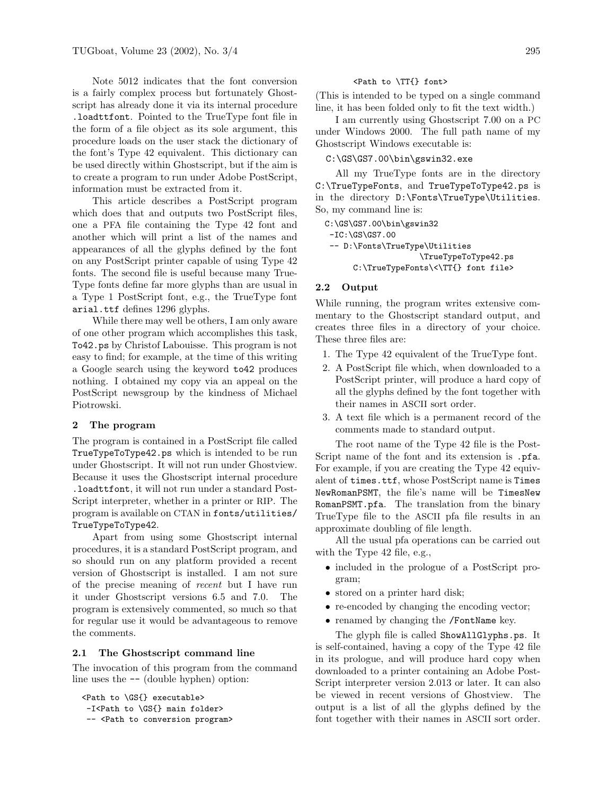Note 5012 indicates that the font conversion is a fairly complex process but fortunately Ghostscript has already done it via its internal procedure .loadttfont. Pointed to the TrueType font file in the form of a file object as its sole argument, this procedure loads on the user stack the dictionary of the font's Type 42 equivalent. This dictionary can be used directly within Ghostscript, but if the aim is to create a program to run under Adobe PostScript, information must be extracted from it.

This article describes a PostScript program which does that and outputs two PostScript files, one a PFA file containing the Type 42 font and another which will print a list of the names and appearances of all the glyphs defined by the font on any PostScript printer capable of using Type 42 fonts. The second file is useful because many True-Type fonts define far more glyphs than are usual in a Type 1 PostScript font, e.g., the TrueType font arial.ttf defines 1296 glyphs.

While there may well be others, I am only aware of one other program which accomplishes this task, To42.ps by Christof Labouisse. This program is not easy to find; for example, at the time of this writing a Google search using the keyword to42 produces nothing. I obtained my copy via an appeal on the PostScript newsgroup by the kindness of Michael Piotrowski.

#### 2 The program

The program is contained in a PostScript file called TrueTypeToType42.ps which is intended to be run under Ghostscript. It will not run under Ghostview. Because it uses the Ghostscript internal procedure .loadttfont, it will not run under a standard Post-Script interpreter, whether in a printer or RIP. The program is available on CTAN in [fonts/utilities/](fonts/utilities/TrueTypeToType42) [TrueTypeToType42](fonts/utilities/TrueTypeToType42).

Apart from using some Ghostscript internal procedures, it is a standard PostScript program, and so should run on any platform provided a recent version of Ghostscript is installed. I am not sure of the precise meaning of recent but I have run it under Ghostscript versions 6.5 and 7.0. The program is extensively commented, so much so that for regular use it would be advantageous to remove the comments.

### 2.1 The Ghostscript command line

The invocation of this program from the command line uses the -- (double hyphen) option:

```
<Path to \GS{} executable>
-I<Path to \GS{} main folder>
-- <Path to conversion program>
```
#### <Path to \TT{} font>

(This is intended to be typed on a single command line, it has been folded only to fit the text width.)

I am currently using Ghostscript 7.00 on a PC under Windows 2000. The full path name of my Ghostscript Windows executable is:

## C:\GS\GS7.00\bin\gswin32.exe

All my TrueType fonts are in the directory C:\TrueTypeFonts, and TrueTypeToType42.ps is in the directory D:\Fonts\TrueType\Utilities. So, my command line is:

```
C:\GS\GS7.00\bin\gswin32
-IC:\GS\GS7.00-- D:\Fonts\TrueType\Utilities
                    \TrueTypeToType42.ps
      C:\TrueTypeFonts\<\TT{} font file>
```
## 2.2 Output

While running, the program writes extensive commentary to the Ghostscript standard output, and creates three files in a directory of your choice. These three files are:

- 1. The Type 42 equivalent of the TrueType font.
- 2. A PostScript file which, when downloaded to a PostScript printer, will produce a hard copy of all the glyphs defined by the font together with their names in ASCII sort order.
- 3. A text file which is a permanent record of the comments made to standard output.

The root name of the Type 42 file is the Post-Script name of the font and its extension is .pfa. For example, if you are creating the Type 42 equivalent of times.ttf, whose PostScript name is Times NewRomanPSMT, the file's name will be TimesNew RomanPSMT.pfa. The translation from the binary TrueType file to the ASCII pfa file results in an approximate doubling of file length.

All the usual pfa operations can be carried out with the Type 42 file, e.g.,

- included in the prologue of a PostScript program;
- stored on a printer hard disk;
- re-encoded by changing the encoding vector;
- renamed by changing the /FontName key.

The glyph file is called ShowAllGlyphs.ps. It is self-contained, having a copy of the Type 42 file in its prologue, and will produce hard copy when downloaded to a printer containing an Adobe Post-Script interpreter version 2.013 or later. It can also be viewed in recent versions of Ghostview. The output is a list of all the glyphs defined by the font together with their names in ASCII sort order.